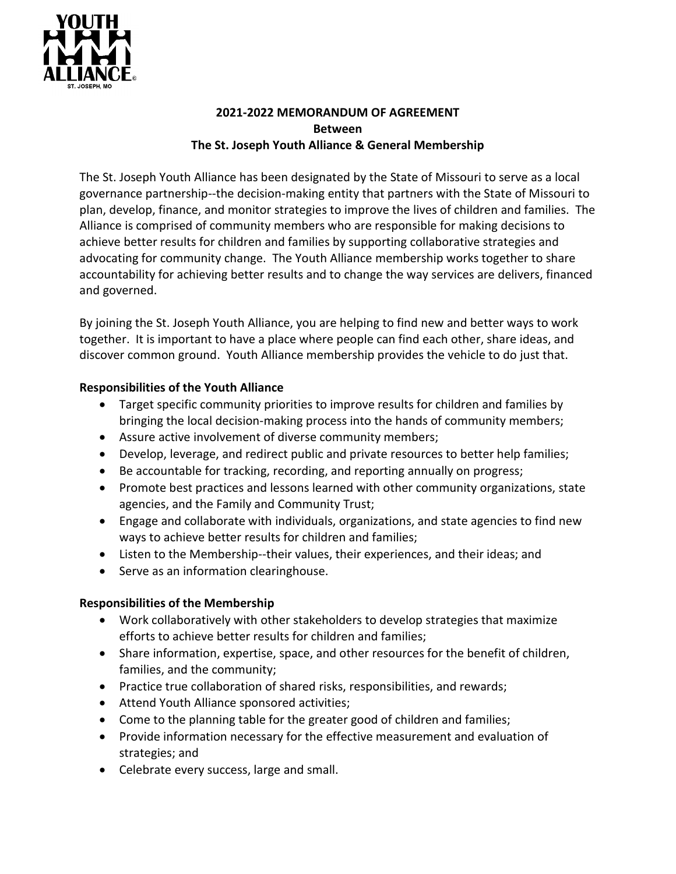

## **2021-2022 MEMORANDUM OF AGREEMENT Between The St. Joseph Youth Alliance & General Membership**

The St. Joseph Youth Alliance has been designated by the State of Missouri to serve as a local governance partnership--the decision-making entity that partners with the State of Missouri to plan, develop, finance, and monitor strategies to improve the lives of children and families. The Alliance is comprised of community members who are responsible for making decisions to achieve better results for children and families by supporting collaborative strategies and advocating for community change. The Youth Alliance membership works together to share accountability for achieving better results and to change the way services are delivers, financed and governed.

By joining the St. Joseph Youth Alliance, you are helping to find new and better ways to work together. It is important to have a place where people can find each other, share ideas, and discover common ground. Youth Alliance membership provides the vehicle to do just that.

## **Responsibilities of the Youth Alliance**

- Target specific community priorities to improve results for children and families by bringing the local decision-making process into the hands of community members;
- Assure active involvement of diverse community members;
- Develop, leverage, and redirect public and private resources to better help families;
- Be accountable for tracking, recording, and reporting annually on progress;
- Promote best practices and lessons learned with other community organizations, state agencies, and the Family and Community Trust;
- Engage and collaborate with individuals, organizations, and state agencies to find new ways to achieve better results for children and families;
- Listen to the Membership--their values, their experiences, and their ideas; and
- Serve as an information clearinghouse.

## **Responsibilities of the Membership**

- Work collaboratively with other stakeholders to develop strategies that maximize efforts to achieve better results for children and families;
- Share information, expertise, space, and other resources for the benefit of children, families, and the community;
- Practice true collaboration of shared risks, responsibilities, and rewards;
- Attend Youth Alliance sponsored activities;
- Come to the planning table for the greater good of children and families;
- Provide information necessary for the effective measurement and evaluation of strategies; and
- Celebrate every success, large and small.